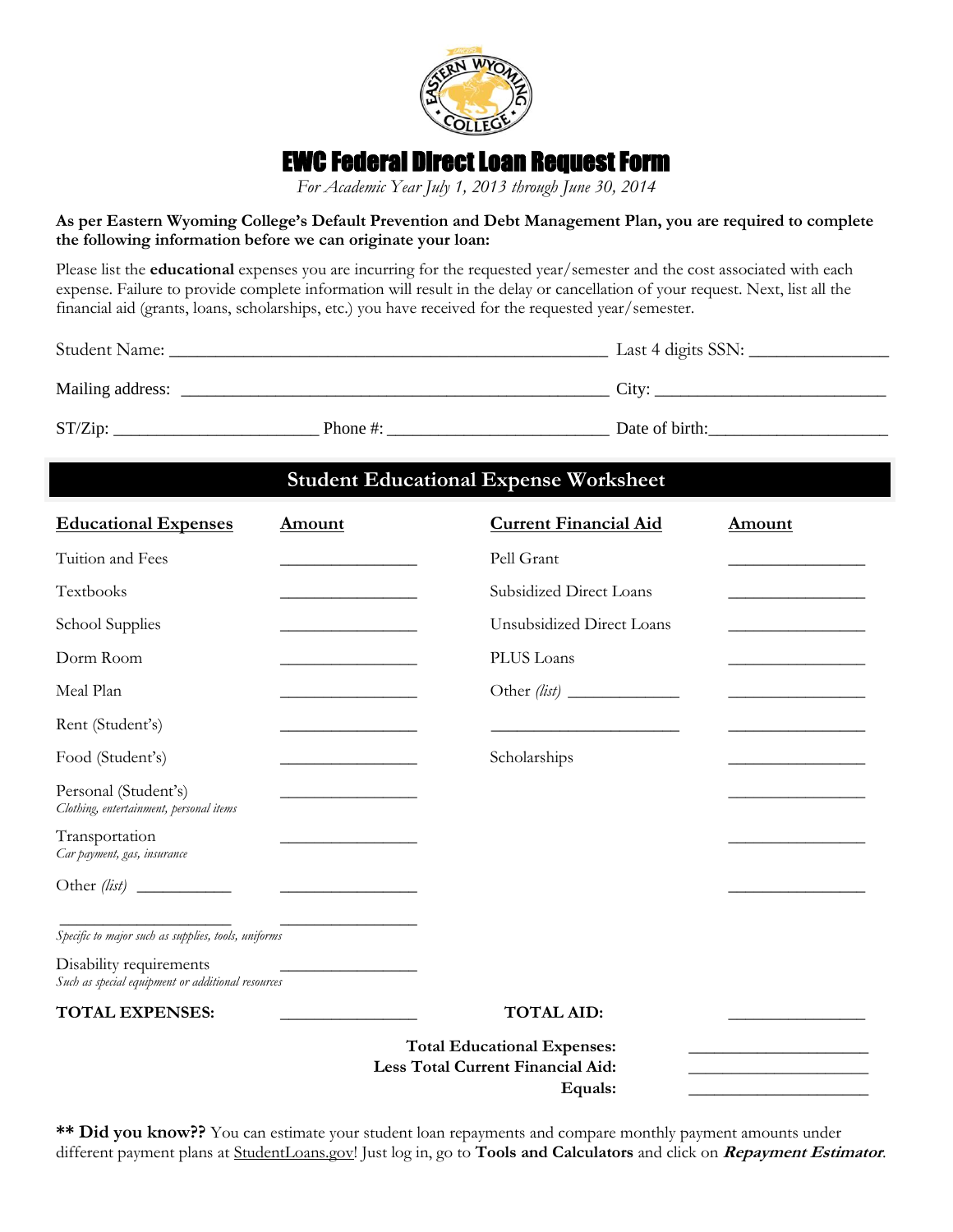

# EWC Federal Direct Loan Request Form

*For Academic Year July 1, 2013 through June 30, 2014*

### **As per Eastern Wyoming College's Default Prevention and Debt Management Plan, you are required to complete the following information before we can originate your loan:**

Please list the **educational** expenses you are incurring for the requested year/semester and the cost associated with each expense. Failure to provide complete information will result in the delay or cancellation of your request. Next, list all the financial aid (grants, loans, scholarships, etc.) you have received for the requested year/semester.

| Student Name:    |             | Last 4 digits SSN: |  |
|------------------|-------------|--------------------|--|
| Mailing address: |             | City:              |  |
| ST/Zip:          | Phone $#$ : | Date of birth:     |  |

# **Student Educational Expense Worksheet**

| <b>Educational Expenses</b>                                                  | <b>Amount</b>                                                                                                         | <b>Current Financial Aid</b>                                                       | Amount                                       |
|------------------------------------------------------------------------------|-----------------------------------------------------------------------------------------------------------------------|------------------------------------------------------------------------------------|----------------------------------------------|
| Tuition and Fees                                                             |                                                                                                                       | Pell Grant                                                                         | the control of the control of the control of |
| Textbooks                                                                    |                                                                                                                       | Subsidized Direct Loans                                                            |                                              |
| School Supplies                                                              | <u> 1989 - Johann Barn, mars an t-Amerikaansk kommunister (</u>                                                       | Unsubsidized Direct Loans                                                          |                                              |
| Dorm Room                                                                    |                                                                                                                       | PLUS Loans                                                                         |                                              |
| Meal Plan                                                                    |                                                                                                                       |                                                                                    |                                              |
| Rent (Student's)                                                             | <u> Listen de la componenta del componente del componente del componente del componente del componente del compo</u>  |                                                                                    |                                              |
| Food (Student's)                                                             | the control of the control of the control of                                                                          | Scholarships                                                                       |                                              |
| Personal (Student's)<br>Clothing, entertainment, personal items              |                                                                                                                       |                                                                                    |                                              |
| Transportation<br>Car payment, gas, insurance                                |                                                                                                                       |                                                                                    |                                              |
|                                                                              | <u> 1989 - Andrea Barbara, política establecera en la provincia de la provincia de la provincia de la provincia d</u> |                                                                                    |                                              |
| Specific to major such as supplies, tools, uniforms                          |                                                                                                                       |                                                                                    |                                              |
| Disability requirements<br>Such as special equipment or additional resources |                                                                                                                       |                                                                                    |                                              |
| <b>TOTAL EXPENSES:</b>                                                       |                                                                                                                       | <b>TOTAL AID:</b>                                                                  |                                              |
|                                                                              |                                                                                                                       | <b>Total Educational Expenses:</b><br>Less Total Current Financial Aid:<br>Equals: |                                              |

**\*\* Did you know??** You can estimate your student loan repayments and compare monthly payment amounts under different payment plans at StudentLoans.gov! Just log in, go to **Tools and Calculators** and click on **Repayment Estimator**.